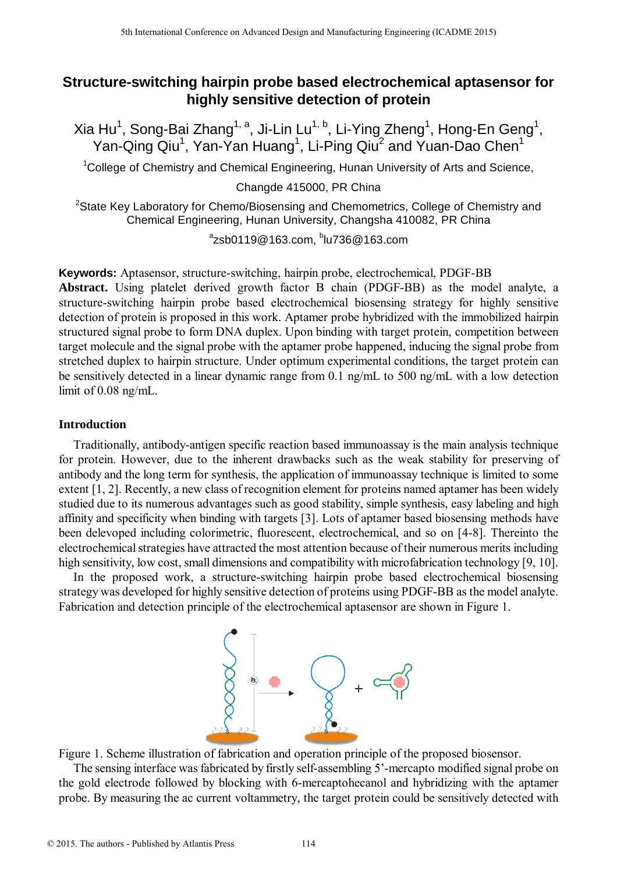# **Structure-switching hairpin probe based electrochemical aptasensor for highly sensitive detection of protein**

Xia Hu $^1$ , Song-Bai Zhang $^{1, \, a}$ , Ji-Lin Lu $^{1, \, b}$ , Li-Ying Zheng $^1$ , Hong-En Geng $^1$ , Yan-Qing Qiu<sup>1</sup>, Yan-Yan Huang<sup>1</sup>, Li-Ping Qiu<sup>2</sup> and Yuan-Dao Chen<sup>1</sup>

<sup>1</sup>College of Chemistry and Chemical Engineering, Hunan University of Arts and Science,

Changde 415000, PR China

<sup>2</sup>State Key Laboratory for Chemo/Biosensing and Chemometrics, College of Chemistry and Chemical Engineering, Hunan University, Changsha 410082, PR China

 $^{\circ}$ zsb0119@163.com,  $^{\circ}$ lu736@163.com

**Keywords:** Aptasensor, structure-switching, hairpin probe, electrochemical, PDGF-BB **Abstract.** Using platelet derived growth factor B chain (PDGF-BB) as the model analyte, a structure-switching hairpin probe based electrochemical biosensing strategy for highly sensitive detection of protein is proposed in this work. Aptamer probe hybridized with the immobilized hairpin structured signal probe to form DNA duplex. Upon binding with target protein, competition between target molecule and the signal probe with the aptamer probe happened, inducing the signal probe from stretched duplex to hairpin structure. Under optimum experimental conditions, the target protein can be sensitively detected in a linear dynamic range from 0.1 ng/mL to 500 ng/mL with a low detection limit of 0.08 ng/mL.

### **Introduction**

Traditionally, antibody-antigen specific reaction based immunoassay is the main analysis technique for protein. However, due to the inherent drawbacks such as the weak stability for preserving of antibody and the long term for synthesis, the application of immunoassay technique is limited to some extent [1, 2]. Recently, a new class of recognition element for proteins named aptamer has been widely studied due to its numerous advantages such as good stability, simple synthesis, easy labeling and high affinity and specificity when binding with targets [3]. Lots of aptamer based biosensing methods have been delevoped including colorimetric, fluorescent, electrochemical, and so on [4-8]. Thereinto the electrochemical strategies have attracted the most attention because of their numerous merits including high sensitivity, low cost, small dimensions and compatibility with microfabrication technology [9, 10]. <sup>516</sup> Leventhow Conference on Advanced Design and Manufacturing Engineering Conference on Advanced Design and Conference on Advanced Design and Conference of Conference or Conference of Conference or Conference or Confere

In the proposed work, a structure-switching hairpin probe based electrochemical biosensing strategy was developed for highly sensitive detection of proteins using PDGF-BB as the model analyte. Fabrication and detection principle of the electrochemical aptasensor are shown in Figure 1.



Figure 1. Scheme illustration of fabrication and operation principle of the proposed biosensor.

The sensing interface was fabricated by firstly self-assembling 5'-mercapto modified signal probe on the gold electrode followed by blocking with 6-mercaptohecanol and hybridizing with the aptamer probe. By measuring the ac current voltammetry, the target protein could be sensitively detected with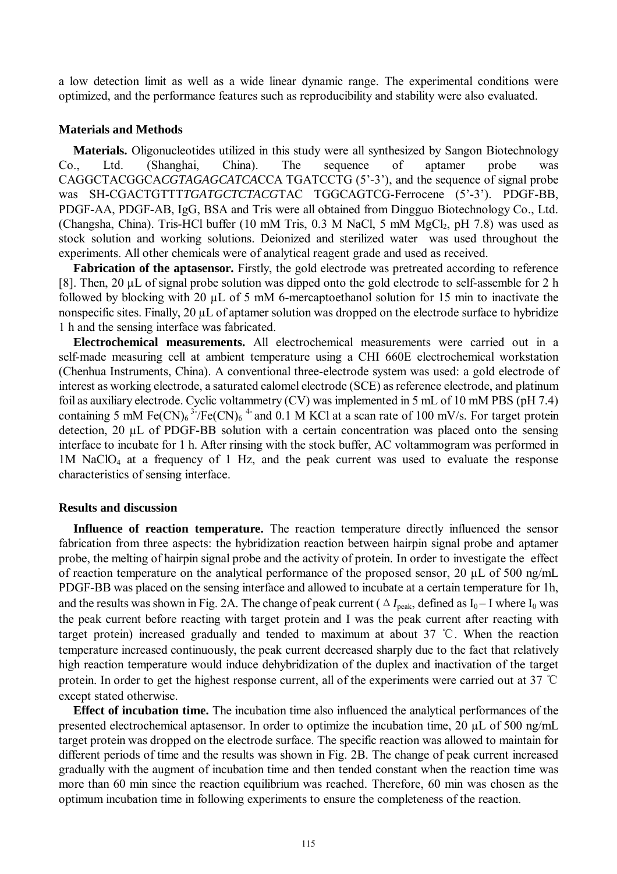a low detection limit as well as a wide linear dynamic range. The experimental conditions were optimized, and the performance features such as reproducibility and stability were also evaluated.

### **Materials and Methods**

**Materials.** Oligonucleotides utilized in this study were all synthesized by Sangon Biotechnology Co., Ltd. (Shanghai, China). The sequence of aptamer probe was CAGGCTACGGCA*CGTAGAGCATCA*CCA TGATCCTG (5'-3'), and the sequence of signal probe was SH-CGACTGTTT*TGATGCTCTACG*TAC TGGCAGTCG-Ferrocene (5'-3'). PDGF-BB, PDGF-AA, PDGF-AB, IgG, BSA and Tris were all obtained from Dingguo Biotechnology Co., Ltd. (Changsha, China). Tris-HCl buffer (10 mM Tris,  $0.3$  M NaCl, 5 mM MgCl, pH 7.8) was used as stock solution and working solutions. Deionized and sterilized water was used throughout the experiments. All other chemicals were of analytical reagent grade and used as received.

**Fabrication of the aptasensor.** Firstly, the gold electrode was pretreated according to reference [8]. Then, 20 µL of signal probe solution was dipped onto the gold electrode to self-assemble for 2 h followed by blocking with 20 µL of 5 mM 6-mercaptoethanol solution for 15 min to inactivate the nonspecific sites. Finally, 20  $\mu$ L of aptamer solution was dropped on the electrode surface to hybridize 1 h and the sensing interface was fabricated.

**Electrochemical measurements.** All electrochemical measurements were carried out in a self-made measuring cell at ambient temperature using a CHI 660E electrochemical workstation (Chenhua Instruments, China). A conventional three-electrode system was used: a gold electrode of interest as working electrode, a saturated calomel electrode (SCE) as reference electrode, and platinum foil as auxiliary electrode. Cyclic voltammetry (CV) was implemented in 5 mL of 10 mM PBS (pH 7.4) containing 5 mM Fe(CN)<sub>6</sub><sup>3-</sup>/Fe(CN)<sub>6</sub><sup>4-</sup> and 0.1 M KCl at a scan rate of 100 mV/s. For target protein detection, 20 µL of PDGF-BB solution with a certain concentration was placed onto the sensing interface to incubate for 1 h. After rinsing with the stock buffer, AC voltammogram was performed in 1M NaClO<sup>4</sup> at a frequency of 1 Hz, and the peak current was used to evaluate the response characteristics of sensing interface.

#### **Results and discussion**

**Influence of reaction temperature.** The reaction temperature directly influenced the sensor fabrication from three aspects: the hybridization reaction between hairpin signal probe and aptamer probe, the melting of hairpin signal probe and the activity of protein. In order to investigate the effect of reaction temperature on the analytical performance of the proposed sensor, 20 µL of 500 ng/mL PDGF-BB was placed on the sensing interface and allowed to incubate at a certain temperature for 1h, and the results was shown in Fig. 2A. The change of peak current ( $\Delta I_{\text{peak}}$ , defined as  $I_0$ –I where  $I_0$  was the peak current before reacting with target protein and I was the peak current after reacting with target protein) increased gradually and tended to maximum at about 37 ℃. When the reaction temperature increased continuously, the peak current decreased sharply due to the fact that relatively high reaction temperature would induce dehybridization of the duplex and inactivation of the target protein. In order to get the highest response current, all of the experiments were carried out at 37 ℃ except stated otherwise.

**Effect of incubation time.** The incubation time also influenced the analytical performances of the presented electrochemical aptasensor. In order to optimize the incubation time, 20 µL of 500 ng/mL target protein was dropped on the electrode surface. The specific reaction was allowed to maintain for different periods of time and the results was shown in Fig. 2B. The change of peak current increased gradually with the augment of incubation time and then tended constant when the reaction time was more than 60 min since the reaction equilibrium was reached. Therefore, 60 min was chosen as the optimum incubation time in following experiments to ensure the completeness of the reaction.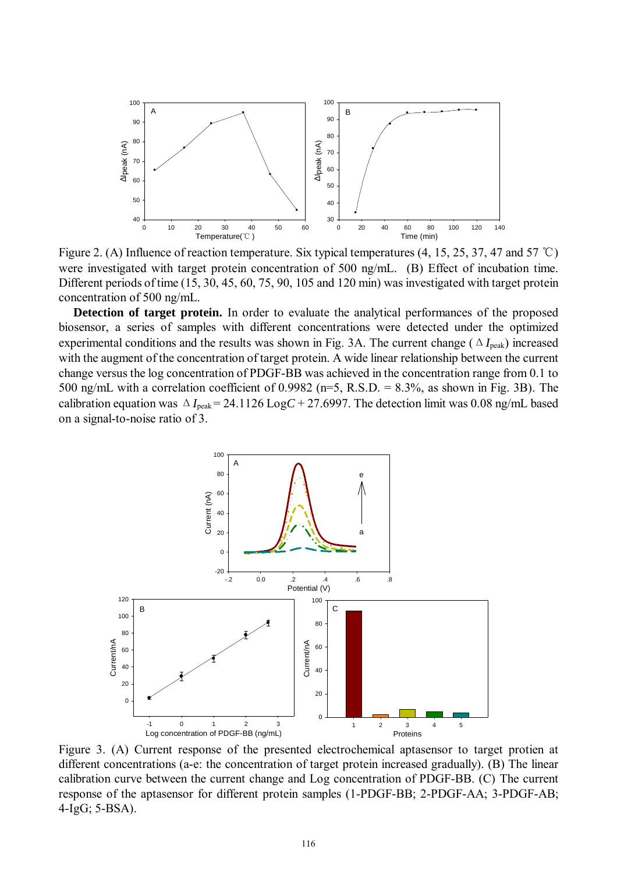

Figure 2. (A) Influence of reaction temperature. Six typical temperatures (4, 15, 25, 37, 47 and 57 ℃) were investigated with target protein concentration of 500 ng/mL. (B) Effect of incubation time. Different periods of time (15, 30, 45, 60, 75, 90, 105 and 120 min) was investigated with target protein concentration of 500 ng/mL.

**Detection of target protein.** In order to evaluate the analytical performances of the proposed biosensor, a series of samples with different concentrations were detected under the optimized experimental conditions and the results was shown in Fig. 3A. The current change (Δ*I*peak) increased with the augment of the concentration of target protein. A wide linear relationship between the current change versus the log concentration of PDGF-BB was achieved in the concentration range from 0.1 to 500 ng/mL with a correlation coefficient of 0.9982 ( $n=5$ , R.S.D. = 8.3%, as shown in Fig. 3B). The calibration equation was  $\Delta I_{peak} = 24.1126 \text{ Log}C + 27.6997$ . The detection limit was 0.08 ng/mL based on a signal-to-noise ratio of 3.



Figure 3. (A) Current response of the presented electrochemical aptasensor to target protien at different concentrations (a-e: the concentration of target protein increased gradually). (B) The linear calibration curve between the current change and Log concentration of PDGF-BB. (C) The current response of the aptasensor for different protein samples (1-PDGF-BB; 2-PDGF-AA; 3-PDGF-AB; 4-IgG; 5-BSA).